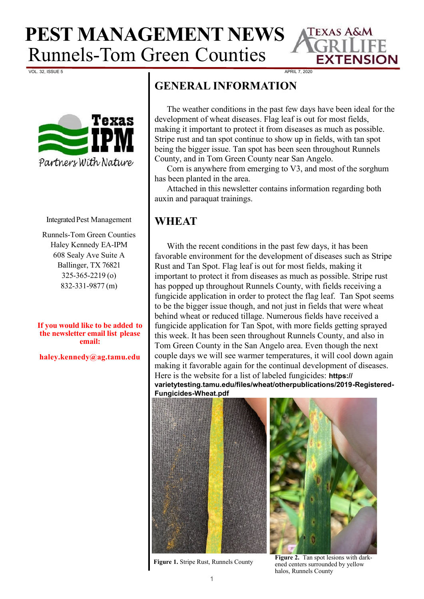

VOL. 32, ISSUE 5 APRIL 7, 2020



#### Integrated Pest Management

Runnels-Tom Green Counties Haley Kennedy EA-IPM 608 Sealy Ave Suite A Ballinger, TX 76821 325-365-2219 (o) 832-331-9877 (m)

**If you would like to be added to the newsletter email list please email:**

**haley.kennedy@ag.tamu.edu**

## **GENERAL INFORMATION**

The weather conditions in the past few days have been ideal for the development of wheat diseases. Flag leaf is out for most fields, making it important to protect it from diseases as much as possible. Stripe rust and tan spot continue to show up in fields, with tan spot being the bigger issue. Tan spot has been seen throughout Runnels County, and in Tom Green County near San Angelo.

Corn is anywhere from emerging to V3, and most of the sorghum has been planted in the area.

Attached in this newsletter contains information regarding both auxin and paraquat trainings.

### **WHEAT**

With the recent conditions in the past few days, it has been favorable environment for the development of diseases such as Stripe Rust and Tan Spot. Flag leaf is out for most fields, making it important to protect it from diseases as much as possible. Stripe rust has popped up throughout Runnels County, with fields receiving a fungicide application in order to protect the flag leaf. Tan Spot seems to be the bigger issue though, and not just in fields that were wheat behind wheat or reduced tillage. Numerous fields have received a fungicide application for Tan Spot, with more fields getting sprayed this week. It has been seen throughout Runnels County, and also in Tom Green County in the San Angelo area. Even though the next couple days we will see warmer temperatures, it will cool down again making it favorable again for the continual development of diseases. Here is the website for a list of labeled fungicides: **https:// varietytesting.tamu.edu/files/wheat/otherpublications/2019-Registered-**

**Fungicides-Wheat.pdf** 



**Figure 1.** Stripe Rust, Runnels County

**Figure 2.** Tan spot lesions with darkened centers surrounded by yellow halos, Runnels County